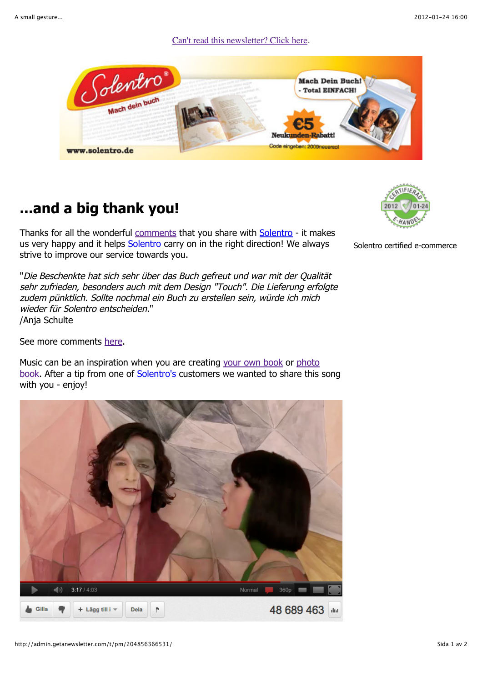Can't read this newsletter? Click here.



## **...and a big thank you!**

Thanks for all the wonderful comments that you share with Solentro - it makes us very happy and it helps Solentro carry on in the right direction! We always strive to improve our service towards you.

"Die Beschenkte hat sich sehr über das Buch gefreut und war mit der Qualität sehr zufrieden, besonders auch mit dem Design "Touch". Die Lieferung erfolgte zudem pünktlich. Sollte nochmal ein Buch zu erstellen sein, würde ich mich wieder für Solentro entscheiden." /Anja Schulte

See more comments here.

Music can be an inspiration when you are creating your own book or photo book. After a tip from one of Solentro's customers we wanted to share this song with you - enjoy!





Solentro certified e-commerce